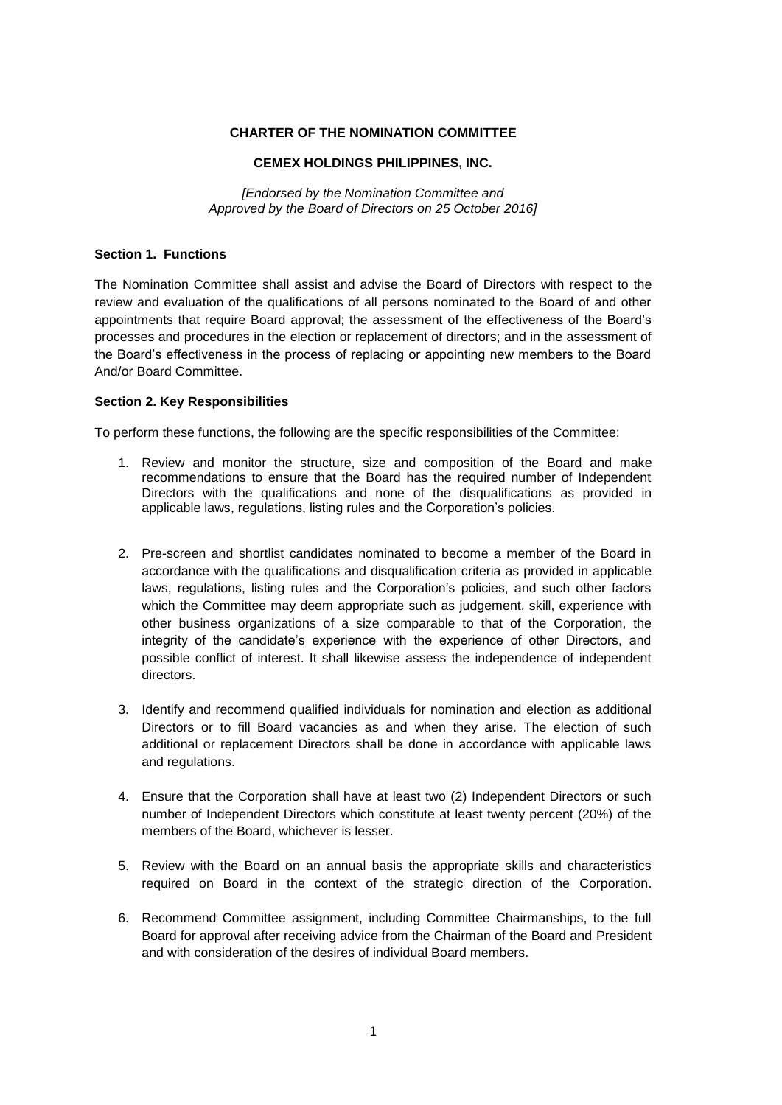### **CHARTER OF THE NOMINATION COMMITTEE**

#### **CEMEX HOLDINGS PHILIPPINES, INC.**

*[Endorsed by the Nomination Committee and Approved by the Board of Directors on 25 October 2016]*

### **Section 1. Functions**

The Nomination Committee shall assist and advise the Board of Directors with respect to the review and evaluation of the qualifications of all persons nominated to the Board of and other appointments that require Board approval; the assessment of the effectiveness of the Board's processes and procedures in the election or replacement of directors; and in the assessment of the Board's effectiveness in the process of replacing or appointing new members to the Board And/or Board Committee.

# **Section 2. Key Responsibilities**

To perform these functions, the following are the specific responsibilities of the Committee:

- 1. Review and monitor the structure, size and composition of the Board and make recommendations to ensure that the Board has the required number of Independent Directors with the qualifications and none of the disqualifications as provided in applicable laws, regulations, listing rules and the Corporation's policies.
- 2. Pre-screen and shortlist candidates nominated to become a member of the Board in accordance with the qualifications and disqualification criteria as provided in applicable laws, regulations, listing rules and the Corporation's policies, and such other factors which the Committee may deem appropriate such as judgement, skill, experience with other business organizations of a size comparable to that of the Corporation, the integrity of the candidate's experience with the experience of other Directors, and possible conflict of interest. It shall likewise assess the independence of independent directors.
- 3. Identify and recommend qualified individuals for nomination and election as additional Directors or to fill Board vacancies as and when they arise. The election of such additional or replacement Directors shall be done in accordance with applicable laws and regulations.
- 4. Ensure that the Corporation shall have at least two (2) Independent Directors or such number of Independent Directors which constitute at least twenty percent (20%) of the members of the Board, whichever is lesser.
- 5. Review with the Board on an annual basis the appropriate skills and characteristics required on Board in the context of the strategic direction of the Corporation.
- 6. Recommend Committee assignment, including Committee Chairmanships, to the full Board for approval after receiving advice from the Chairman of the Board and President and with consideration of the desires of individual Board members.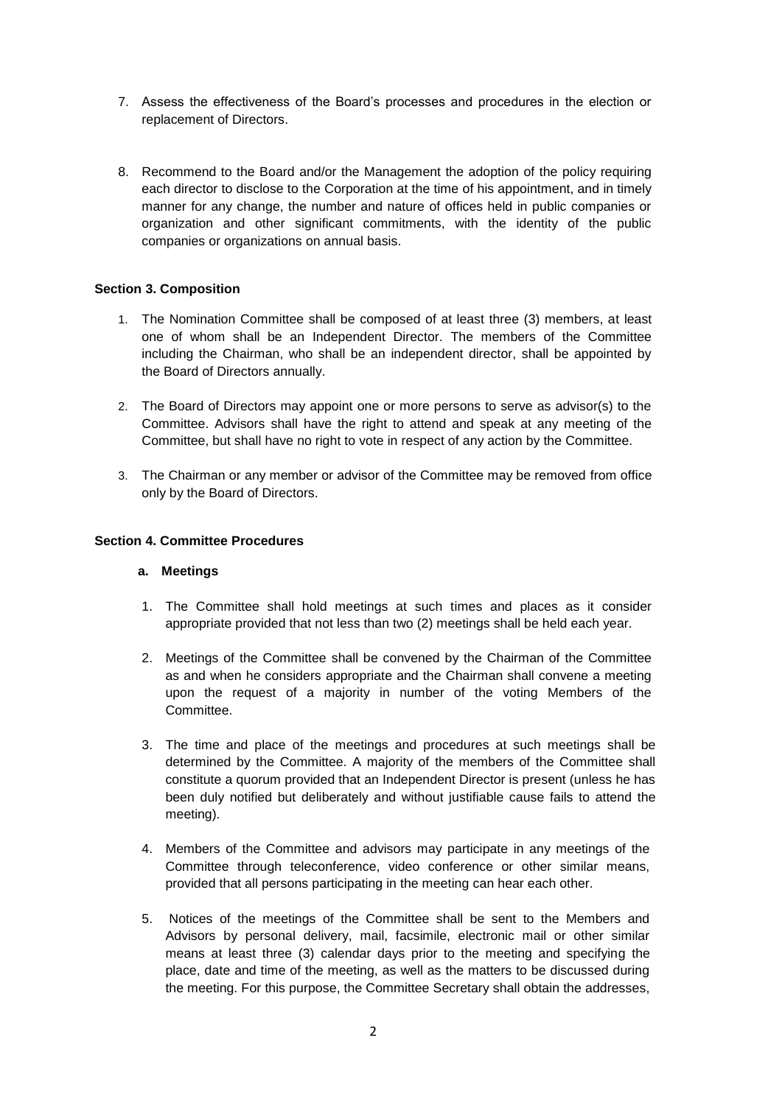- 7. Assess the effectiveness of the Board's processes and procedures in the election or replacement of Directors.
- 8. Recommend to the Board and/or the Management the adoption of the policy requiring each director to disclose to the Corporation at the time of his appointment, and in timely manner for any change, the number and nature of offices held in public companies or organization and other significant commitments, with the identity of the public companies or organizations on annual basis.

# **Section 3. Composition**

- 1. The Nomination Committee shall be composed of at least three (3) members, at least one of whom shall be an Independent Director. The members of the Committee including the Chairman, who shall be an independent director, shall be appointed by the Board of Directors annually.
- 2. The Board of Directors may appoint one or more persons to serve as advisor(s) to the Committee. Advisors shall have the right to attend and speak at any meeting of the Committee, but shall have no right to vote in respect of any action by the Committee.
- 3. The Chairman or any member or advisor of the Committee may be removed from office only by the Board of Directors.

# **Section 4. Committee Procedures**

# **a. Meetings**

- 1. The Committee shall hold meetings at such times and places as it consider appropriate provided that not less than two (2) meetings shall be held each year.
- 2. Meetings of the Committee shall be convened by the Chairman of the Committee as and when he considers appropriate and the Chairman shall convene a meeting upon the request of a majority in number of the voting Members of the Committee.
- 3. The time and place of the meetings and procedures at such meetings shall be determined by the Committee. A majority of the members of the Committee shall constitute a quorum provided that an Independent Director is present (unless he has been duly notified but deliberately and without justifiable cause fails to attend the meeting).
- 4. Members of the Committee and advisors may participate in any meetings of the Committee through teleconference, video conference or other similar means, provided that all persons participating in the meeting can hear each other.
- 5. Notices of the meetings of the Committee shall be sent to the Members and Advisors by personal delivery, mail, facsimile, electronic mail or other similar means at least three (3) calendar days prior to the meeting and specifying the place, date and time of the meeting, as well as the matters to be discussed during the meeting. For this purpose, the Committee Secretary shall obtain the addresses,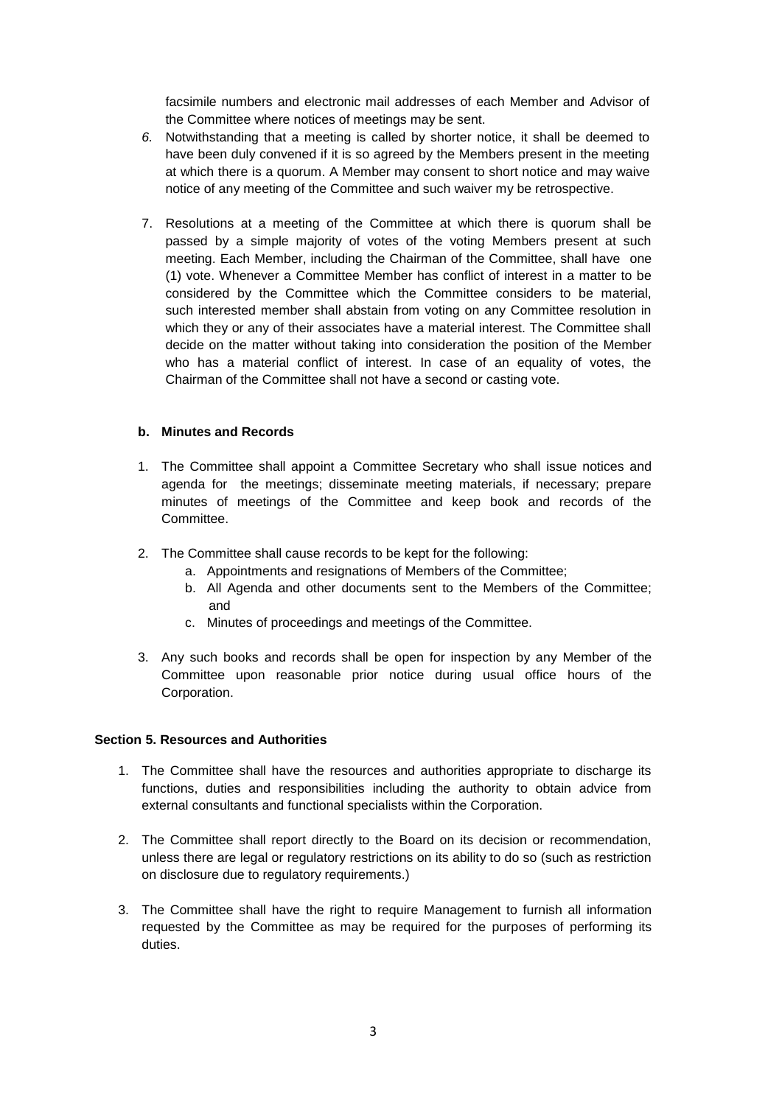facsimile numbers and electronic mail addresses of each Member and Advisor of the Committee where notices of meetings may be sent.

- *6.* Notwithstanding that a meeting is called by shorter notice, it shall be deemed to have been duly convened if it is so agreed by the Members present in the meeting at which there is a quorum. A Member may consent to short notice and may waive notice of any meeting of the Committee and such waiver my be retrospective.
- 7. Resolutions at a meeting of the Committee at which there is quorum shall be passed by a simple majority of votes of the voting Members present at such meeting. Each Member, including the Chairman of the Committee, shall have one (1) vote. Whenever a Committee Member has conflict of interest in a matter to be considered by the Committee which the Committee considers to be material, such interested member shall abstain from voting on any Committee resolution in which they or any of their associates have a material interest. The Committee shall decide on the matter without taking into consideration the position of the Member who has a material conflict of interest. In case of an equality of votes, the Chairman of the Committee shall not have a second or casting vote.

### **b. Minutes and Records**

- 1. The Committee shall appoint a Committee Secretary who shall issue notices and agenda for the meetings; disseminate meeting materials, if necessary; prepare minutes of meetings of the Committee and keep book and records of the Committee.
- 2. The Committee shall cause records to be kept for the following:
	- a. Appointments and resignations of Members of the Committee;
	- b. All Agenda and other documents sent to the Members of the Committee; and
	- c. Minutes of proceedings and meetings of the Committee.
- 3. Any such books and records shall be open for inspection by any Member of the Committee upon reasonable prior notice during usual office hours of the Corporation.

#### **Section 5. Resources and Authorities**

- 1. The Committee shall have the resources and authorities appropriate to discharge its functions, duties and responsibilities including the authority to obtain advice from external consultants and functional specialists within the Corporation.
- 2. The Committee shall report directly to the Board on its decision or recommendation, unless there are legal or regulatory restrictions on its ability to do so (such as restriction on disclosure due to regulatory requirements.)
- 3. The Committee shall have the right to require Management to furnish all information requested by the Committee as may be required for the purposes of performing its duties.